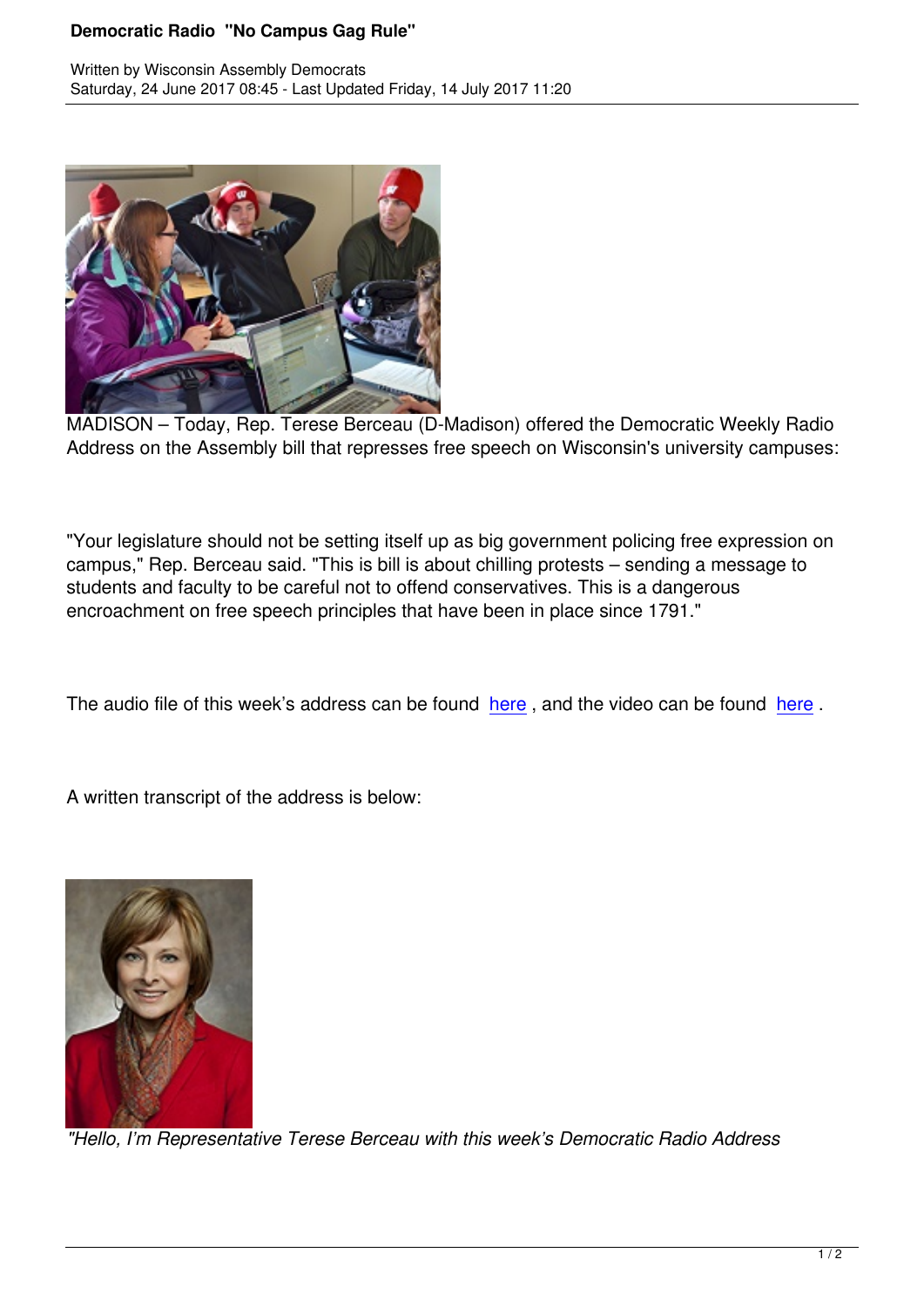

MADISON – Today, Rep. Terese Berceau (D-Madison) offered the Democratic Weekly Radio Address on the Assembly bill that represses free speech on Wisconsin's university campuses:

"Your legislature should not be setting itself up as big government policing free expression on campus," Rep. Berceau said. "This is bill is about chilling protests – sending a message to students and faculty to be careful not to offend conservatives. This is a dangerous encroachment on free speech principles that have been in place since 1791."

The audio file of this week's address can be found here, and the video can be found here.

A written transcript of the address is below:



*"Hello, I'm Representative Terese Berceau with this week's Democratic Radio Address*